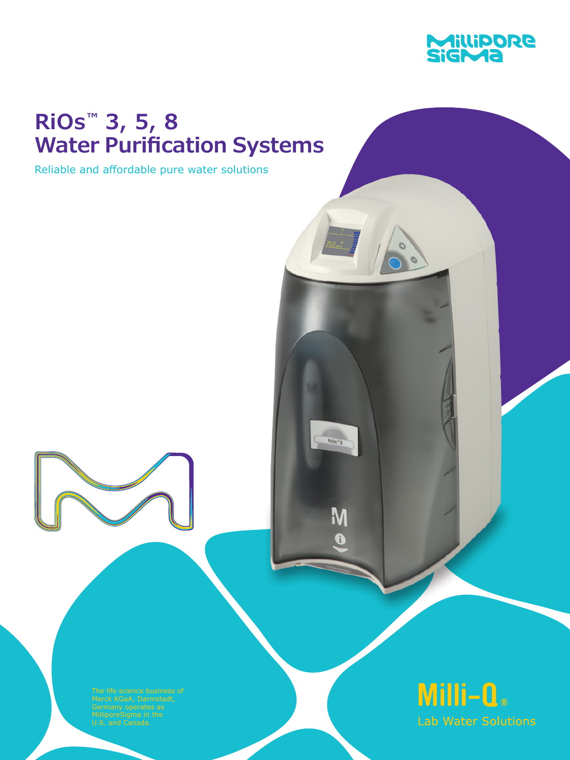

# **RiOs™ 3, 5, 8 Water Purification Systems**

Reliable and affordable pure water solutions



 $RiOs^{\frac{1}{2}}3$ 

M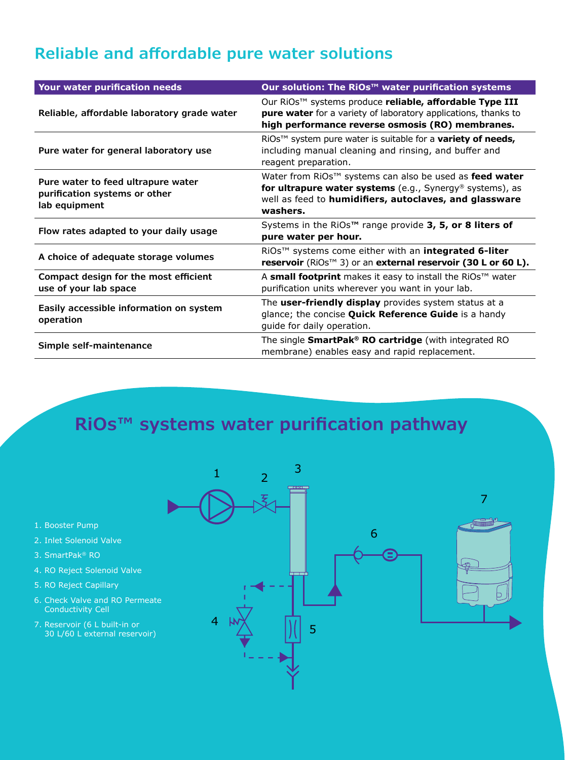### **Reliable and affordable pure water solutions**

| Your water purification needs                                                        | Our solution: The RiOs <sup>™</sup> water purification systems                                                                                                                                        |
|--------------------------------------------------------------------------------------|-------------------------------------------------------------------------------------------------------------------------------------------------------------------------------------------------------|
| Reliable, affordable laboratory grade water                                          | Our RiOs™ systems produce reliable, affordable Type III<br>pure water for a variety of laboratory applications, thanks to<br>high performance reverse osmosis (RO) membranes.                         |
| Pure water for general laboratory use                                                | RiOs™ system pure water is suitable for a <b>variety of needs</b> ,<br>including manual cleaning and rinsing, and buffer and<br>reagent preparation.                                                  |
| Pure water to feed ultrapure water<br>purification systems or other<br>lab equipment | Water from RiOs <sup>™</sup> systems can also be used as feed water<br>for ultrapure water systems (e.g., Synergy® systems), as<br>well as feed to humidifiers, autoclaves, and glassware<br>washers. |
| Flow rates adapted to your daily usage                                               | Systems in the RiOs™ range provide 3, 5, or 8 liters of<br>pure water per hour.                                                                                                                       |
| A choice of adequate storage volumes                                                 | RiOs™ systems come either with an integrated 6-liter<br>reservoir (RiOs™ 3) or an external reservoir (30 L or 60 L).                                                                                  |
| Compact design for the most efficient<br>use of your lab space                       | A small footprint makes it easy to install the RiOs™ water<br>purification units wherever you want in your lab.                                                                                       |
| Easily accessible information on system<br>operation                                 | The user-friendly display provides system status at a<br>glance; the concise Quick Reference Guide is a handy<br>guide for daily operation.                                                           |
| Simple self-maintenance                                                              | The single SmartPak® RO cartridge (with integrated RO<br>membrane) enables easy and rapid replacement.                                                                                                |

## **RiOs™ systems water purification pathway**

- 1. Booster Pump
- 2. Inlet Solenoid Valve
- 3. SmartPak® RO
- 4. RO Reject Solenoid Valve
- 5. RO Reject Capillary
- 6. Check Valve and RO Permeate Conductivity Cell
- 7. Reservoir (6 L built-in or 30 L/60 L external reservoir)

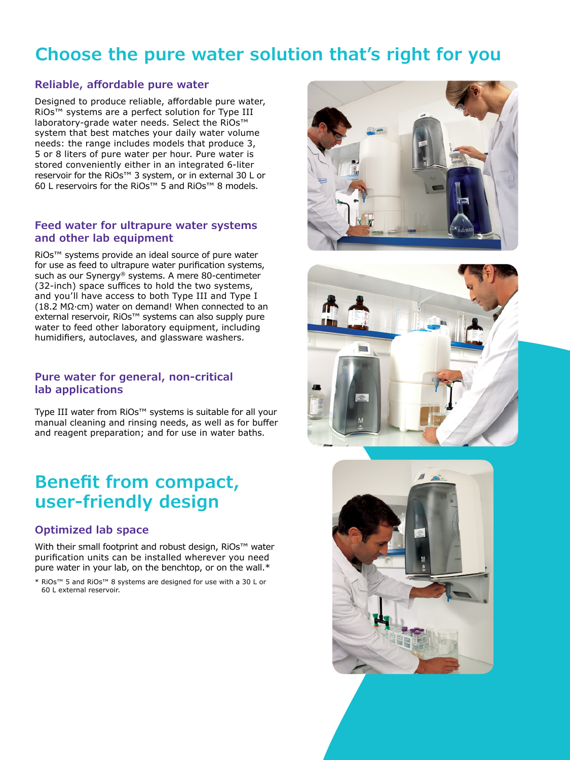### **Choose the pure water solution that's right for you**

#### **Reliable, affordable pure water**

Designed to produce reliable, affordable pure water, RiOs™ systems are a perfect solution for Type III laboratory-grade water needs. Select the RiOs™ system that best matches your daily water volume needs: the range includes models that produce 3, 5 or 8 liters of pure water per hour. Pure water is stored conveniently either in an integrated 6-liter reservoir for the RiOs™ 3 system, or in external 30 L or 60 L reservoirs for the RiOs™ 5 and RiOs™ 8 models.

#### **Feed water for ultrapure water systems and other lab equipment**

RiOs™ systems provide an ideal source of pure water for use as feed to ultrapure water purification systems, such as our Synergy® systems. A mere 80-centimeter (32-inch) space suffices to hold the two systems, and you'll have access to both Type III and Type I (18.2 MΩ·cm) water on demand! When connected to an external reservoir, RiOs<sup>™</sup> systems can also supply pure water to feed other laboratory equipment, including humidifiers, autoclaves, and glassware washers.

#### **Pure water for general, non-critical lab applications**

Type III water from RiOs™ systems is suitable for all your manual cleaning and rinsing needs, as well as for buffer and reagent preparation; and for use in water baths.

### **Benefit from compact, user-friendly design**

#### **Optimized lab space**

With their small footprint and robust design, RiOs™ water purification units can be installed wherever you need pure water in your lab, on the benchtop, or on the wall.\*

\* RiOs™ 5 and RiOs™ 8 systems are designed for use with a 30 L or 60 L external reservoir.





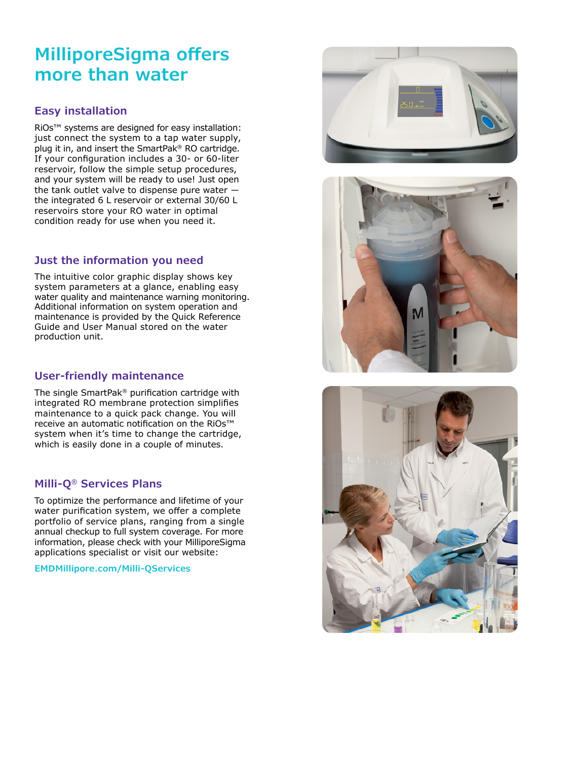## **MilliporeSigma offers more than water**

#### **Easy installation**

RiOs™ systems are designed for easy installation: just connect the system to a tap water supply, plug it in, and insert the SmartPak® RO cartridge. If your configuration includes a 30- or 60-liter reservoir, follow the simple setup procedures, and your system will be ready to use! Just open the tank outlet valve to dispense pure water ― the integrated 6 L reservoir or external 30/60 L reservoirs store your RO water in optimal condition ready for use when you need it.

#### **Just the information you need**

The intuitive color graphic display shows key system parameters at a glance, enabling easy water quality and maintenance warning monitoring. Additional information on system operation and maintenance is provided by the Quick Reference Guide and User Manual stored on the water production unit.

#### **User-friendly maintenance**

The single SmartPak® purification cartridge with integrated RO membrane protection simplifies maintenance to a quick pack change. You will receive an automatic notification on the RiOs™ system when it's time to change the cartridge, which is easily done in a couple of minutes.

#### **Milli-Q® Services Plans**

To optimize the performance and lifetime of your water purification system, we offer a complete portfolio of service plans, ranging from a single annual checkup to full system coverage. For more information, please check with your MilliporeSigma applications specialist or visit our website:

**EMDMillipore.com/Milli-QServices**





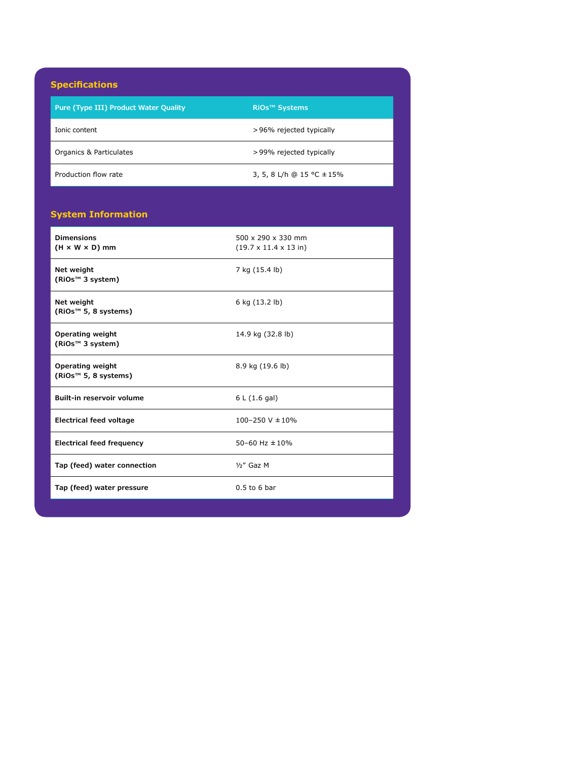#### **Specifications**

| <b>Opedintations</b>                  |                                 |
|---------------------------------------|---------------------------------|
| Pure (Type III) Product Water Quality | <b>RiOs<sup>™</sup> Systems</b> |
| Ionic content                         | >96% rejected typically         |
| Organics & Particulates               | >99% rejected typically         |
| Production flow rate                  | 3, 5, 8 L/h @ 15 °C ± 15%       |
|                                       |                                 |

#### **System Information**

| <b>Dimensions</b><br>$(H \times W \times D)$ mm             | 500 x 290 x 330 mm<br>$(19.7 \times 11.4 \times 13 \text{ in})$ |
|-------------------------------------------------------------|-----------------------------------------------------------------|
| Net weight<br>(RiOs <sup>™</sup> 3 system)                  | 7 kg (15.4 lb)                                                  |
| Net weight<br>(RiOs <sup>™</sup> 5, 8 systems)              | 6 kg (13.2 lb)                                                  |
| <b>Operating weight</b><br>(RiOs <sup>™</sup> 3 system)     | 14.9 kg (32.8 lb)                                               |
| <b>Operating weight</b><br>(RiOs <sup>™</sup> 5, 8 systems) | 8.9 kg (19.6 lb)                                                |
| Built-in reservoir volume                                   | 6 L (1.6 gal)                                                   |
| <b>Electrical feed voltage</b>                              | $100 - 250$ V $\pm 10\%$                                        |
| <b>Electrical feed frequency</b>                            | 50-60 Hz $\pm$ 10%                                              |
| Tap (feed) water connection                                 | $1/2$ " Gaz M                                                   |
| Tap (feed) water pressure                                   | $0.5$ to 6 bar                                                  |